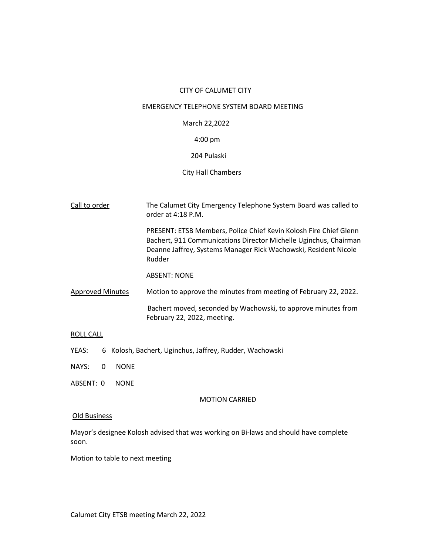## CITY OF CALUMET CITY

## EMERGENCY TELEPHONE SYSTEM BOARD MEETING

## March 22,2022

# 4:00 pm

## 204 Pulaski

### City Hall Chambers

| Call to order           | The Calumet City Emergency Telephone System Board was called to<br>order at 4:18 P.M.                                                                                                                              |
|-------------------------|--------------------------------------------------------------------------------------------------------------------------------------------------------------------------------------------------------------------|
|                         | PRESENT: ETSB Members, Police Chief Kevin Kolosh Fire Chief Glenn<br>Bachert, 911 Communications Director Michelle Uginchus, Chairman<br>Deanne Jaffrey, Systems Manager Rick Wachowski, Resident Nicole<br>Rudder |
|                         | <b>ABSENT: NONE</b>                                                                                                                                                                                                |
| <b>Approved Minutes</b> | Motion to approve the minutes from meeting of February 22, 2022.                                                                                                                                                   |
|                         | Bachert moved, seconded by Wachowski, to approve minutes from<br>February 22, 2022, meeting.                                                                                                                       |

## ROLL CALL

- YEAS: 6 Kolosh, Bachert, Uginchus, Jaffrey, Rudder, Wachowski
- NAYS: 0 NONE
- ABSENT: 0 NONE

#### MOTION CARRIED

# Old Business

Mayor's designee Kolosh advised that was working on Bi-laws and should have complete soon.

Motion to table to next meeting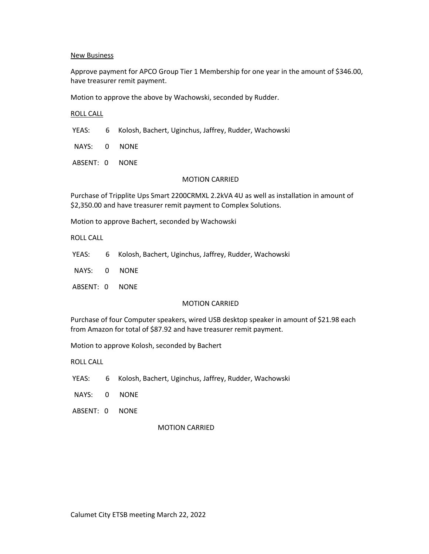### New Business

Approve payment for APCO Group Tier 1 Membership for one year in the amount of \$346.00, have treasurer remit payment.

Motion to approve the above by Wachowski, seconded by Rudder.

#### ROLL CALL

YEAS: 6 Kolosh, Bachert, Uginchus, Jaffrey, Rudder, Wachowski

NAYS: 0 NONE

ABSENT: 0 NONE

### MOTION CARRIED

Purchase of Tripplite Ups Smart 2200CRMXL 2.2kVA 4U as well as installation in amount of \$2,350.00 and have treasurer remit payment to Complex Solutions.

Motion to approve Bachert, seconded by Wachowski

ROLL CALL

- YEAS: 6 Kolosh, Bachert, Uginchus, Jaffrey, Rudder, Wachowski
- NAYS: 0 NONE
- ABSENT: 0 NONE

### MOTION CARRIED

Purchase of four Computer speakers, wired USB desktop speaker in amount of \$21.98 each from Amazon for total of \$87.92 and have treasurer remit payment.

Motion to approve Kolosh, seconded by Bachert

ROLL CALL

- YEAS: 6 Kolosh, Bachert, Uginchus, Jaffrey, Rudder, Wachowski
- NAYS: 0 NONE
- ABSENT: 0 NONE

### MOTION CARRIED